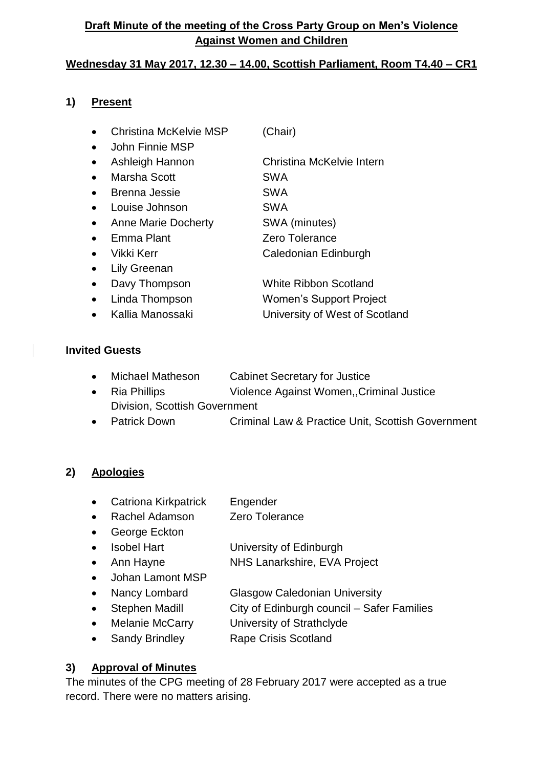## **Draft Minute of the meeting of the Cross Party Group on Men's Violence Against Women and Children**

### **Wednesday 31 May 2017, 12.30 – 14.00, Scottish Parliament, Room T4.40 – CR1**

#### **1) Present**

- Christina McKelvie MSP (Chair)
- John Finnie MSP
- Ashleigh Hannon Christina McKelvie Intern
- Marsha Scott **SWA**
- Brenna Jessie SWA
- Louise Johnson SWA
- Anne Marie Docherty SWA (minutes)
- Emma Plant Zero Tolerance
- Vikki Kerr **Caledonian Edinburgh**
- Lily Greenan
- Davy Thompson White Ribbon Scotland
- Linda Thompson Women's Support Project
- Kallia Manossaki University of West of Scotland

#### **Invited Guests**

- Michael Matheson Cabinet Secretary for Justice
- Ria Phillips Violence Against Women,,Criminal Justice Division, Scottish Government
- Patrick Down Criminal Law & Practice Unit, Scottish Government

#### **2) Apologies**

- Catriona Kirkpatrick Engender
- Rachel Adamson Zero Tolerance
- George Eckton
- Isobel Hart University of Edinburgh
	- Ann Hayne NHS Lanarkshire, EVA Project
- Johan Lamont MSP
- Nancy Lombard Glasgow Caledonian University
- Stephen Madill City of Edinburgh council Safer Families
- Melanie McCarry University of Strathclyde
- Sandy Brindley Rape Crisis Scotland

## **3) Approval of Minutes**

The minutes of the CPG meeting of 28 February 2017 were accepted as a true record. There were no matters arising.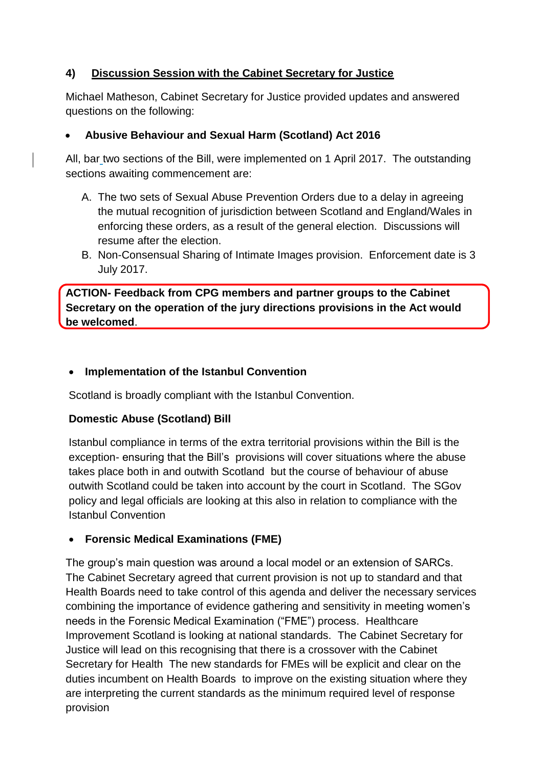### **4) Discussion Session with the Cabinet Secretary for Justice**

Michael Matheson, Cabinet Secretary for Justice provided updates and answered questions on the following:

### **Abusive Behaviour and Sexual Harm (Scotland) Act 2016**

All, bar two sections of the Bill, were implemented on 1 April 2017. The outstanding sections awaiting commencement are:

- A. The two sets of Sexual Abuse Prevention Orders due to a delay in agreeing the mutual recognition of jurisdiction between Scotland and England/Wales in enforcing these orders, as a result of the general election. Discussions will resume after the election.
- B. Non-Consensual Sharing of Intimate Images provision. Enforcement date is 3 July 2017.

**ACTION- Feedback from CPG members and partner groups to the Cabinet Secretary on the operation of the jury directions provisions in the Act would be welcomed**.

### **Implementation of the Istanbul Convention**

Scotland is broadly compliant with the Istanbul Convention.

#### **Domestic Abuse (Scotland) Bill**

Istanbul compliance in terms of the extra territorial provisions within the Bill is the exception- ensuring that the Bill's provisions will cover situations where the abuse takes place both in and outwith Scotland but the course of behaviour of abuse outwith Scotland could be taken into account by the court in Scotland. The SGov policy and legal officials are looking at this also in relation to compliance with the Istanbul Convention

#### **Forensic Medical Examinations (FME)**

The group's main question was around a local model or an extension of SARCs. The Cabinet Secretary agreed that current provision is not up to standard and that Health Boards need to take control of this agenda and deliver the necessary services combining the importance of evidence gathering and sensitivity in meeting women's needs in the Forensic Medical Examination ("FME") process. Healthcare Improvement Scotland is looking at national standards. The Cabinet Secretary for Justice will lead on this recognising that there is a crossover with the Cabinet Secretary for Health The new standards for FMEs will be explicit and clear on the duties incumbent on Health Boards to improve on the existing situation where they are interpreting the current standards as the minimum required level of response provision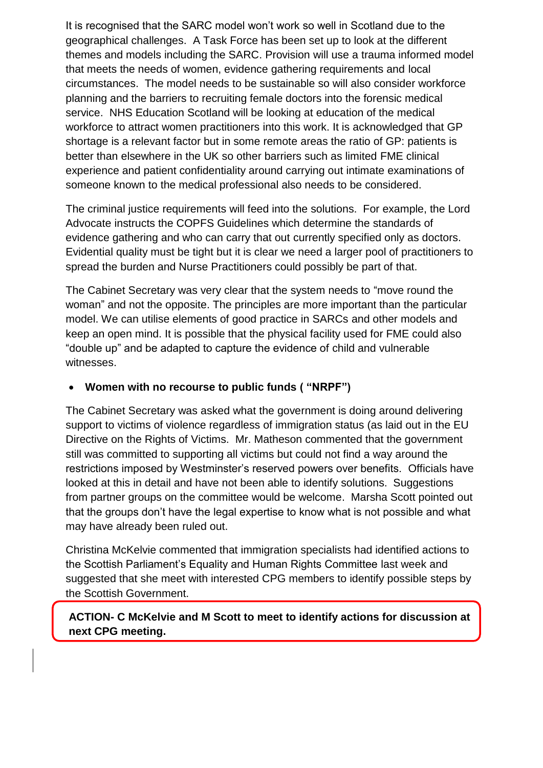It is recognised that the SARC model won't work so well in Scotland due to the geographical challenges. A Task Force has been set up to look at the different themes and models including the SARC. Provision will use a trauma informed model that meets the needs of women, evidence gathering requirements and local circumstances. The model needs to be sustainable so will also consider workforce planning and the barriers to recruiting female doctors into the forensic medical service. NHS Education Scotland will be looking at education of the medical workforce to attract women practitioners into this work. It is acknowledged that GP shortage is a relevant factor but in some remote areas the ratio of GP: patients is better than elsewhere in the UK so other barriers such as limited FME clinical experience and patient confidentiality around carrying out intimate examinations of someone known to the medical professional also needs to be considered.

The criminal justice requirements will feed into the solutions. For example, the Lord Advocate instructs the COPFS Guidelines which determine the standards of evidence gathering and who can carry that out currently specified only as doctors. Evidential quality must be tight but it is clear we need a larger pool of practitioners to spread the burden and Nurse Practitioners could possibly be part of that.

The Cabinet Secretary was very clear that the system needs to "move round the woman" and not the opposite. The principles are more important than the particular model. We can utilise elements of good practice in SARCs and other models and keep an open mind. It is possible that the physical facility used for FME could also "double up" and be adapted to capture the evidence of child and vulnerable witnesses.

#### **Women with no recourse to public funds ( "NRPF")**

The Cabinet Secretary was asked what the government is doing around delivering support to victims of violence regardless of immigration status (as laid out in the EU Directive on the Rights of Victims. Mr. Matheson commented that the government still was committed to supporting all victims but could not find a way around the restrictions imposed by Westminster's reserved powers over benefits. Officials have looked at this in detail and have not been able to identify solutions. Suggestions from partner groups on the committee would be welcome. Marsha Scott pointed out that the groups don't have the legal expertise to know what is not possible and what may have already been ruled out.

Christina McKelvie commented that immigration specialists had identified actions to the Scottish Parliament's Equality and Human Rights Committee last week and suggested that she meet with interested CPG members to identify possible steps by the Scottish Government.

**ACTION- C McKelvie and M Scott to meet to identify actions for discussion at next CPG meeting.**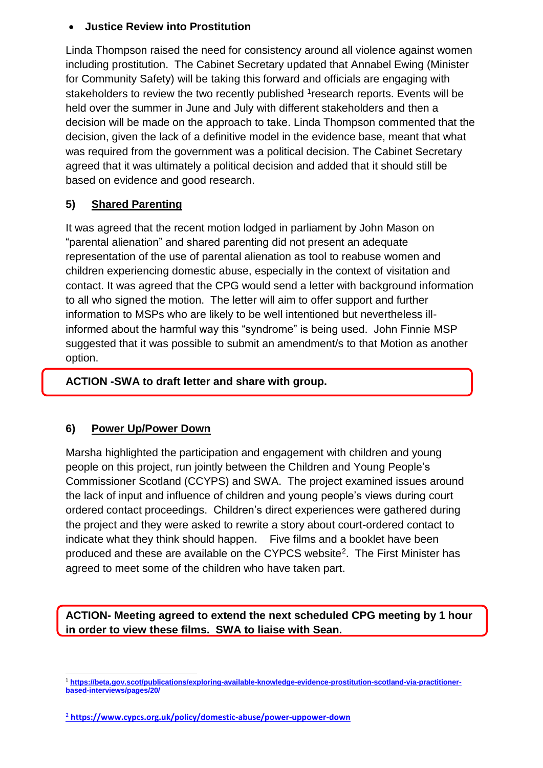#### **Justice Review into Prostitution**

Linda Thompson raised the need for consistency around all violence against women including prostitution. The Cabinet Secretary updated that Annabel Ewing (Minister for Community Safety) will be taking this forward and officials are engaging with stakeholders to review the two recently published <sup>1</sup>research reports. Events will be held over the summer in June and July with different stakeholders and then a decision will be made on the approach to take. Linda Thompson commented that the decision, given the lack of a definitive model in the evidence base, meant that what was required from the government was a political decision. The Cabinet Secretary agreed that it was ultimately a political decision and added that it should still be based on evidence and good research.

### **5) Shared Parenting**

It was agreed that the recent motion lodged in parliament by John Mason on "parental alienation" and shared parenting did not present an adequate representation of the use of parental alienation as tool to reabuse women and children experiencing domestic abuse, especially in the context of visitation and contact. It was agreed that the CPG would send a letter with background information to all who signed the motion. The letter will aim to offer support and further information to MSPs who are likely to be well intentioned but nevertheless illinformed about the harmful way this "syndrome" is being used. John Finnie MSP suggested that it was possible to submit an amendment/s to that Motion as another option.

#### **ACTION -SWA to draft letter and share with group.**

#### **6) Power Up/Power Down**

Marsha highlighted the participation and engagement with children and young people on this project, run jointly between the Children and Young People's Commissioner Scotland (CCYPS) and SWA. The project examined issues around the lack of input and influence of children and young people's views during court ordered contact proceedings. Children's direct experiences were gathered during the project and they were asked to rewrite a story about court-ordered contact to indicate what they think should happen. Five films and a booklet have been produced and these are available on the CYPCS website<sup>2</sup>. The First Minister has agreed to meet some of the children who have taken part.

**ACTION- Meeting agreed to extend the next scheduled CPG meeting by 1 hour in order to view these films. SWA to liaise with Sean.**

<sup>1</sup> <sup>1</sup> **[https://beta.gov.scot/publications/exploring-available-knowledge-evidence-prostitution-scotland-via-practitioner](https://beta.gov.scot/publications/exploring-available-knowledge-evidence-prostitution-scotland-via-practitioner-based-interviews/pages/20/)[based-interviews/pages/20/](https://beta.gov.scot/publications/exploring-available-knowledge-evidence-prostitution-scotland-via-practitioner-based-interviews/pages/20/)**

<sup>2</sup> **<https://www.cypcs.org.uk/policy/domestic-abuse/power-uppower-down>**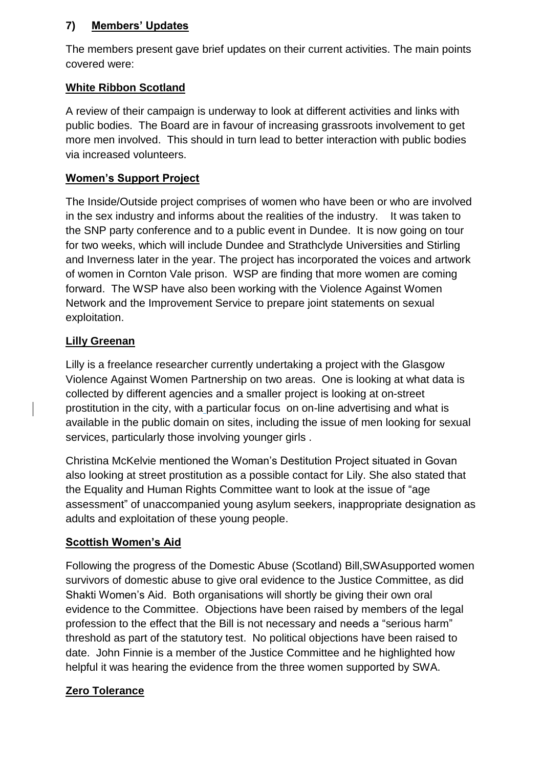### **7) Members' Updates**

The members present gave brief updates on their current activities. The main points covered were:

## **White Ribbon Scotland**

A review of their campaign is underway to look at different activities and links with public bodies. The Board are in favour of increasing grassroots involvement to get more men involved. This should in turn lead to better interaction with public bodies via increased volunteers.

## **Women's Support Project**

The Inside/Outside project comprises of women who have been or who are involved in the sex industry and informs about the realities of the industry. It was taken to the SNP party conference and to a public event in Dundee. It is now going on tour for two weeks, which will include Dundee and Strathclyde Universities and Stirling and Inverness later in the year. The project has incorporated the voices and artwork of women in Cornton Vale prison. WSP are finding that more women are coming forward. The WSP have also been working with the Violence Against Women Network and the Improvement Service to prepare joint statements on sexual exploitation.

## **Lilly Greenan**

Lilly is a freelance researcher currently undertaking a project with the Glasgow Violence Against Women Partnership on two areas. One is looking at what data is collected by different agencies and a smaller project is looking at on-street prostitution in the city, with a particular focus on on-line advertising and what is available in the public domain on sites, including the issue of men looking for sexual services, particularly those involving younger girls .

Christina McKelvie mentioned the Woman's Destitution Project situated in Govan also looking at street prostitution as a possible contact for Lily. She also stated that the Equality and Human Rights Committee want to look at the issue of "age assessment" of unaccompanied young asylum seekers, inappropriate designation as adults and exploitation of these young people.

# **Scottish Women's Aid**

Following the progress of the Domestic Abuse (Scotland) Bill,SWAsupported women survivors of domestic abuse to give oral evidence to the Justice Committee, as did Shakti Women's Aid. Both organisations will shortly be giving their own oral evidence to the Committee. Objections have been raised by members of the legal profession to the effect that the Bill is not necessary and needs a "serious harm" threshold as part of the statutory test. No political objections have been raised to date. John Finnie is a member of the Justice Committee and he highlighted how helpful it was hearing the evidence from the three women supported by SWA.

# **Zero Tolerance**